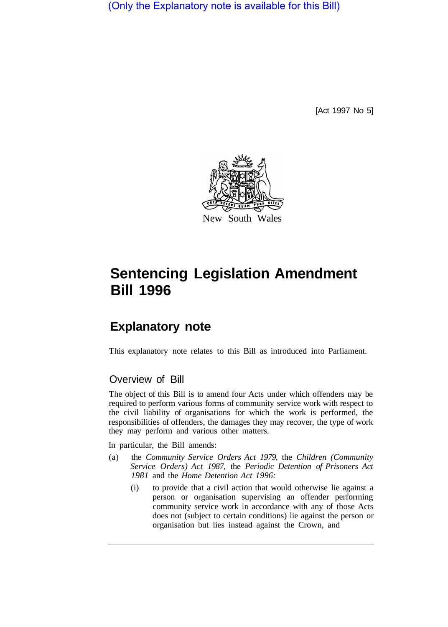(Only the Explanatory note is available for this Bill)

[Act 1997 No 5]



# **Sentencing Legislation Amendment Bill 1996**

# **Explanatory note**

This explanatory note relates to this Bill as introduced into Parliament.

# Overview of Bill

The object of this Bill is to amend four Acts under which offenders may be required to perform various forms of community service work with respect to the civil liability of organisations for which the work is performed, the responsibilities of offenders, the damages they may recover, the type of work they may perform and various other matters.

In particular, the Bill amends:

- (a) the *Community Service Orders Act 1979,* the *Children (Community Service Orders) Act 1987,* the *Periodic Detention of Prisoners Act 1981* and the *Home Detention Act 1996:* 
	- (i) to provide that a civil action that would otherwise lie against a person or organisation supervising an offender performing community service work in accordance with any of those Acts does not (subject to certain conditions) lie against the person or organisation but lies instead against the Crown, and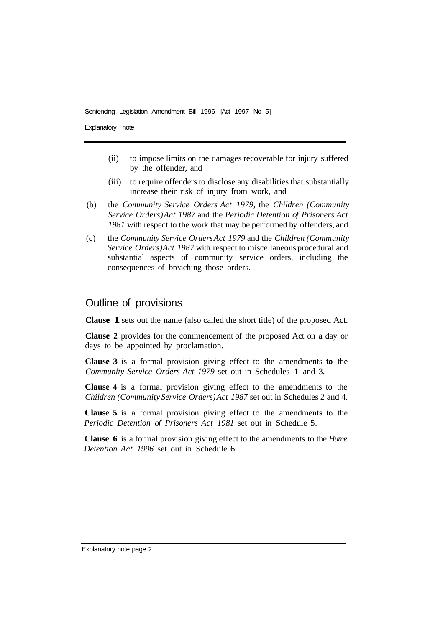Explanatory note

- (ii) to impose limits on the damages recoverable for injury suffered by the offender, and
- (iii) to require offenders to disclose any disabilities that substantially increase their risk of injury from work, and
- (b) the *Community Service Orders Act 1979,* the *Children (Community Service Orders) Act 1987* and the *Periodic Detention of Prisoners Act 1981* with respect to the work that may be performed by offenders, and
- (c) the *Community Service Orders Act 1979* and the *Children (Community Service Orders) Act 1987* with respect to miscellaneous procedural and substantial aspects of community service orders, including the consequences of breaching those orders.

# Outline of provisions

**Clause 1**sets out the name (also called the short title) of the proposed Act.

**Clause 2** provides for the commencement of the proposed Act on a day or days to be appointed by proclamation.

**Clause 3** is a formal provision giving effect to the amendments **to** the *Community Service Orders Act 1979* set out in Schedules 1 and 3.

**Clause 4** is a formal provision giving effect to the amendments to the *Children (Community Service Orders) Act 1987* set out in Schedules 2 and 4.

**Clause 5** is a formal provision giving effect to the amendments to the *Periodic Detention of Prisoners Act 1981* set out in Schedule 5.

**Clause 6** is a formal provision giving effect to the amendments to the *Hume Detention Act 1996* set out in Schedule 6.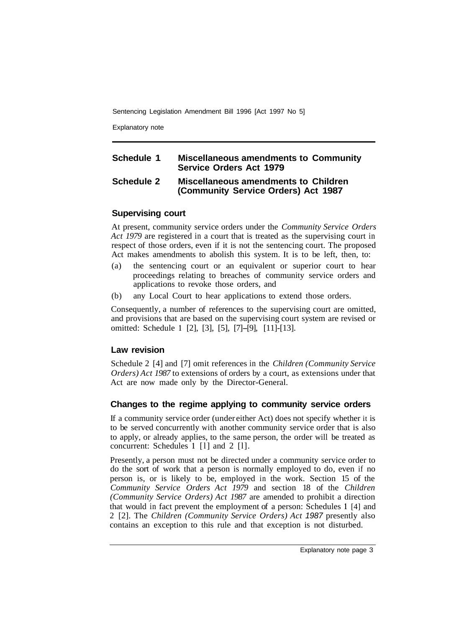Explanatory note

# **Schedule 1 Miscellaneous amendments to Community Service Orders Act 1979**

## **Schedule 2 Miscellaneous amendments to Children (Community Service Orders) Act 1987**

## **Supervising court**

At present, community service orders under the *Community Service Orders Act 1979* are registered in a court that is treated as the supervising court in respect of those orders, even if it is not the sentencing court. The proposed Act makes amendments to abolish this system. It is to be left, then, to:

- (a) the sentencing court or an equivalent or superior court to hear proceedings relating to breaches of community service orders and applications to revoke those orders, and
- (b) any Local Court to hear applications to extend those orders.

Consequently, a number of references to the supervising court are omitted, and provisions that are based on the supervising court system are revised or omitted: Schedule **1** [2], [3], [5], [7]-[9], [11]-[13].

# **Law revision**

Schedule 2 [4] and [7] omit references in the *Children (Community Service Orders) Act 1987* to extensions of orders by a court, as extensions under that Act are now made only by the Director-General.

# **Changes to the regime applying to community service orders**

If a community service order (under either Act) does not specify whether it is to be served concurrently with another community service order that is also to apply, or already applies, to the same person, the order will be treated as concurrent: Schedules **1** [l] and 2 [l].

Presently, a person must not be directed under a community service order to do the sort of work that a person is normally employed to do, even if no person is, or is likely to be, employed in the work. Section 15 of the *Community Service Orders Act 1979* and section 18 of the *Children (Community Service Orders) Act 1987* are amended to prohibit a direction that would in fact prevent the employment of a person: Schedules **1** [4] and 2 [2]. The *Children (Community Service Orders) Act 1987* presently also contains an exception to this rule and that exception is not disturbed.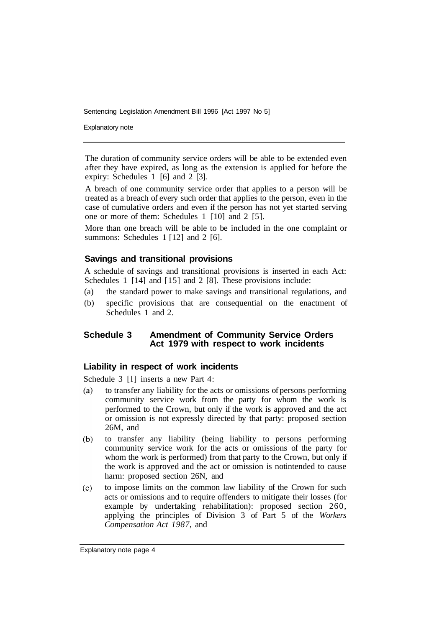Explanatory note

The duration of community service orders will be able to be extended even after they have expired, as long as the extension is applied for before the expiry: Schedules 1 [6] and 2 [3].

A breach of one community service order that applies to a person will be treated as a breach of every such order that applies to the person, even in the case of cumulative orders and even if the person has not yet started serving one or more of them: Schedules 1 [10] and 2 [5].

More than one breach will be able to be included in the one complaint or summons: Schedules 1 [12] and 2 [6].

#### **Savings and transitional provisions**

A schedule of savings and transitional provisions is inserted in each Act: Schedules 1 [14] and [15] and 2 [8]. These provisions include:

- (a) the standard power to make savings and transitional regulations, and
- (b) specific provisions that are consequential on the enactment of Schedules 1 and 2.

#### **Schedule 3 Amendment of Community Service Orders Act 1979 with respect to work incidents**

#### **Liability in respect of work incidents**

Schedule 3 [1] inserts a new Part 4:

- $(a)$ to transfer any liability for the acts or omissions of persons performing community service work from the party for whom the work is performed to the Crown, but only if the work is approved and the act or omission is not expressly directed by that party: proposed section 26M, and
- $(b)$ to transfer any liability (being liability to persons performing community service work for the acts or omissions of the party for whom the work is performed) from that party to the Crown, but only if the work is approved and the act or omission is notintended to cause harm: proposed section 26N, and
- $(c)$ to impose limits on the common law liability of the Crown for such acts or omissions and to require offenders to mitigate their losses (for example by undertaking rehabilitation): proposed section 260, applying the principles of Division 3 of Part 5 of the *Workers Compensation Act 1987,* and

Explanatory note page 4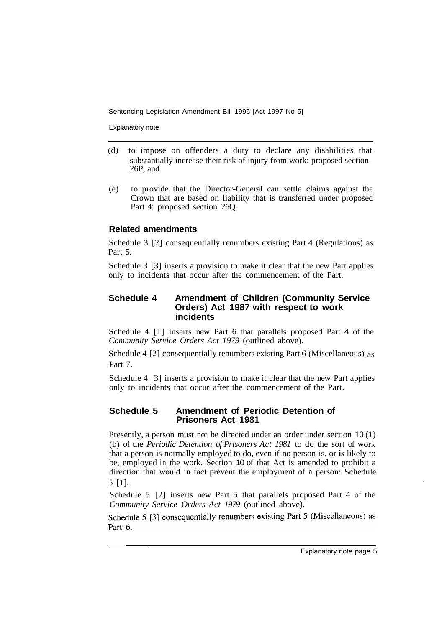Explanatory note

- (d) to impose on offenders a duty to declare any disabilities that substantially increase their risk of injury from work: proposed section 26P, and
- (e) to provide that the Director-General can settle claims against the Crown that are based on liability that is transferred under proposed Part 4: proposed section 26Q.

## **Related amendments**

Schedule 3 [2] consequentially renumbers existing Part 4 (Regulations) as Part 5.

Schedule 3 [3] inserts a provision to make it clear that the new Part applies only to incidents that occur after the commencement of the Part.

#### **Schedule 4 Amendment of Children (Community Service Orders) Act 1987 with respect to work incidents**

Schedule 4 [l] inserts new Part 6 that parallels proposed Part 4 of the *Community Service Orders Act 1979* (outlined above).

Schedule 4 [2] consequentially renumbers existing Part 6 (Miscellaneous) as Part 7.

Schedule 4 [3] inserts a provision to make it clear that the new Part applies only to incidents that occur after the commencement of the Part.

## **Schedule 5 Amendment of Periodic Detention of Prisoners Act 1981**

Presently, a person must not be directed under an order under section 10 (1) (b) of the *Periodic Detention of Prisoners Act 1981* to do the sort of work that a person is normally employed to do, even if no person is, or **is** likely to be, employed in the work. Section 10 of that Act is amended to prohibit a direction that would in fact prevent the employment of a person: Schedule 5 [1].

Schedule 5 [2] inserts new Part 5 that parallels proposed Part 4 of the *Community Service Orders Act 1979* (outlined above).

Schedule 5 [3] consequentially renumbers existing Part 5 (Miscellaneous) as Part 6.